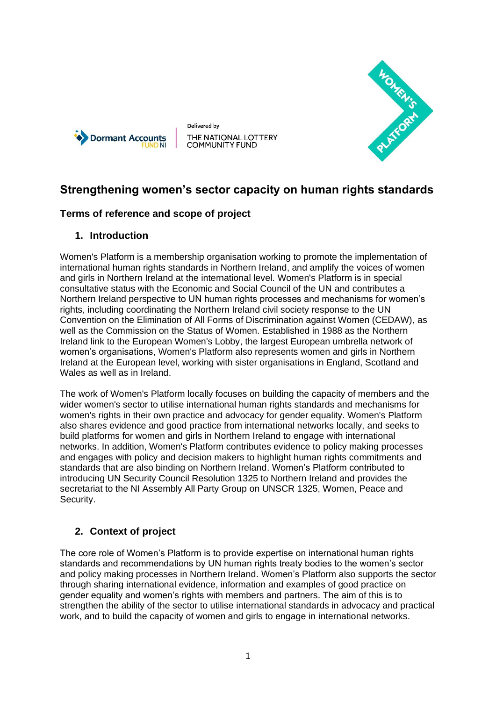

Delivered by THE NATIONAL LOTTERY<br>COMMUNITY FUND



# **Strengthening women's sector capacity on human rights standards**

### **Terms of reference and scope of project**

### **1. Introduction**

Women's Platform is a membership organisation working to promote the implementation of international human rights standards in Northern Ireland, and amplify the voices of women and girls in Northern Ireland at the international level. Women's Platform is in special consultative status with the Economic and Social Council of the UN and contributes a Northern Ireland perspective to UN human rights processes and mechanisms for women's rights, including coordinating the Northern Ireland civil society response to the UN Convention on the Elimination of All Forms of Discrimination against Women (CEDAW), as well as the Commission on the Status of Women. Established in 1988 as the Northern Ireland link to the European Women's Lobby, the largest European umbrella network of women's organisations, Women's Platform also represents women and girls in Northern Ireland at the European level, working with sister organisations in England, Scotland and Wales as well as in Ireland.

The work of Women's Platform locally focuses on building the capacity of members and the wider women's sector to utilise international human rights standards and mechanisms for women's rights in their own practice and advocacy for gender equality. Women's Platform also shares evidence and good practice from international networks locally, and seeks to build platforms for women and girls in Northern Ireland to engage with international networks. In addition, Women's Platform contributes evidence to policy making processes and engages with policy and decision makers to highlight human rights commitments and standards that are also binding on Northern Ireland. Women's Platform contributed to introducing UN Security Council Resolution 1325 to Northern Ireland and provides the secretariat to the NI Assembly All Party Group on UNSCR 1325, Women, Peace and Security.

### **2. Context of project**

The core role of Women's Platform is to provide expertise on international human rights standards and recommendations by UN human rights treaty bodies to the women's sector and policy making processes in Northern Ireland. Women's Platform also supports the sector through sharing international evidence, information and examples of good practice on gender equality and women's rights with members and partners. The aim of this is to strengthen the ability of the sector to utilise international standards in advocacy and practical work, and to build the capacity of women and girls to engage in international networks.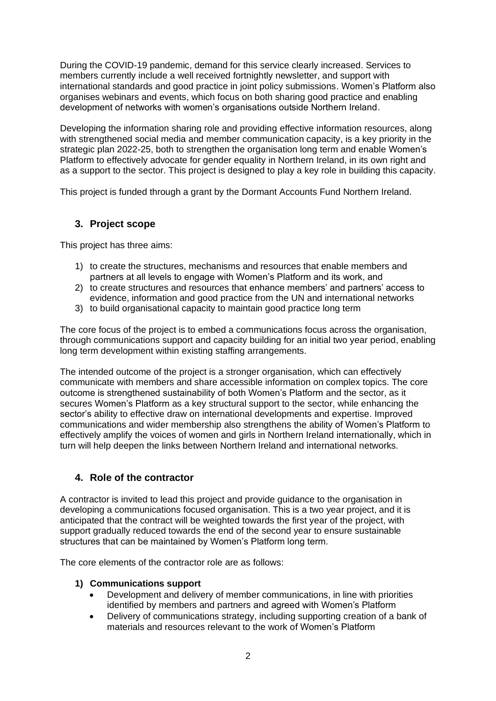During the COVID-19 pandemic, demand for this service clearly increased. Services to members currently include a well received fortnightly newsletter, and support with international standards and good practice in joint policy submissions. Women's Platform also organises webinars and events, which focus on both sharing good practice and enabling development of networks with women's organisations outside Northern Ireland.

Developing the information sharing role and providing effective information resources, along with strengthened social media and member communication capacity, is a key priority in the strategic plan 2022-25, both to strengthen the organisation long term and enable Women's Platform to effectively advocate for gender equality in Northern Ireland, in its own right and as a support to the sector. This project is designed to play a key role in building this capacity.

This project is funded through a grant by the Dormant Accounts Fund Northern Ireland.

### **3. Project scope**

This project has three aims:

- 1) to create the structures, mechanisms and resources that enable members and partners at all levels to engage with Women's Platform and its work, and
- 2) to create structures and resources that enhance members' and partners' access to evidence, information and good practice from the UN and international networks
- 3) to build organisational capacity to maintain good practice long term

The core focus of the project is to embed a communications focus across the organisation, through communications support and capacity building for an initial two year period, enabling long term development within existing staffing arrangements.

The intended outcome of the project is a stronger organisation, which can effectively communicate with members and share accessible information on complex topics. The core outcome is strengthened sustainability of both Women's Platform and the sector, as it secures Women's Platform as a key structural support to the sector, while enhancing the sector's ability to effective draw on international developments and expertise. Improved communications and wider membership also strengthens the ability of Women's Platform to effectively amplify the voices of women and girls in Northern Ireland internationally, which in turn will help deepen the links between Northern Ireland and international networks.

### **4. Role of the contractor**

A contractor is invited to lead this project and provide guidance to the organisation in developing a communications focused organisation. This is a two year project, and it is anticipated that the contract will be weighted towards the first year of the project, with support gradually reduced towards the end of the second year to ensure sustainable structures that can be maintained by Women's Platform long term.

The core elements of the contractor role are as follows:

#### **1) Communications support**

- Development and delivery of member communications, in line with priorities identified by members and partners and agreed with Women's Platform
- Delivery of communications strategy, including supporting creation of a bank of materials and resources relevant to the work of Women's Platform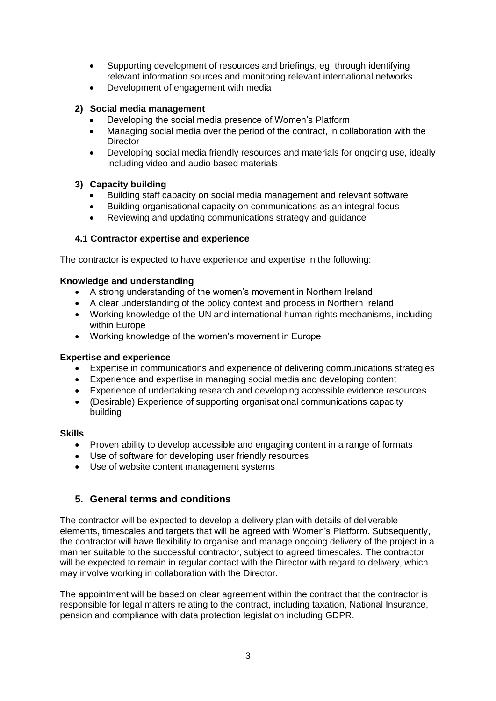- Supporting development of resources and briefings, eg. through identifying relevant information sources and monitoring relevant international networks
- Development of engagement with media

#### **2) Social media management**

- Developing the social media presence of Women's Platform
- Managing social media over the period of the contract, in collaboration with the **Director**
- Developing social media friendly resources and materials for ongoing use, ideally including video and audio based materials

#### **3) Capacity building**

- Building staff capacity on social media management and relevant software
- Building organisational capacity on communications as an integral focus
- Reviewing and updating communications strategy and guidance

#### **4.1 Contractor expertise and experience**

The contractor is expected to have experience and expertise in the following:

#### **Knowledge and understanding**

- A strong understanding of the women's movement in Northern Ireland
- A clear understanding of the policy context and process in Northern Ireland
- Working knowledge of the UN and international human rights mechanisms, including within Europe
- Working knowledge of the women's movement in Europe

#### **Expertise and experience**

- Expertise in communications and experience of delivering communications strategies
- Experience and expertise in managing social media and developing content
- Experience of undertaking research and developing accessible evidence resources
- (Desirable) Experience of supporting organisational communications capacity building

#### **Skills**

- Proven ability to develop accessible and engaging content in a range of formats
- Use of software for developing user friendly resources
- Use of website content management systems

## **5. General terms and conditions**

The contractor will be expected to develop a delivery plan with details of deliverable elements, timescales and targets that will be agreed with Women's Platform. Subsequently, the contractor will have flexibility to organise and manage ongoing delivery of the project in a manner suitable to the successful contractor, subject to agreed timescales. The contractor will be expected to remain in regular contact with the Director with regard to delivery, which may involve working in collaboration with the Director.

The appointment will be based on clear agreement within the contract that the contractor is responsible for legal matters relating to the contract, including taxation, National Insurance, pension and compliance with data protection legislation including GDPR.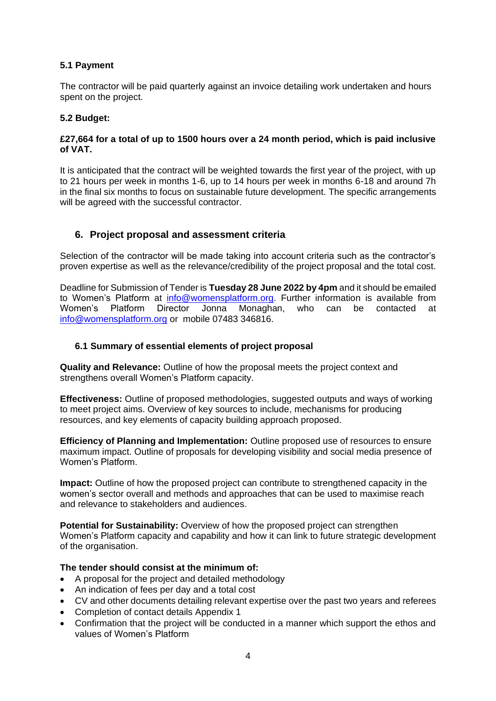#### **5.1 Payment**

The contractor will be paid quarterly against an invoice detailing work undertaken and hours spent on the project.

#### **5.2 Budget:**

#### **£27,664 for a total of up to 1500 hours over a 24 month period, which is paid inclusive of VAT.**

It is anticipated that the contract will be weighted towards the first year of the project, with up to 21 hours per week in months 1-6, up to 14 hours per week in months 6-18 and around 7h in the final six months to focus on sustainable future development. The specific arrangements will be agreed with the successful contractor.

### **6. Project proposal and assessment criteria**

Selection of the contractor will be made taking into account criteria such as the contractor's proven expertise as well as the relevance/credibility of the project proposal and the total cost.

Deadline for Submission of Tender is **Tuesday 28 June 2022 by 4pm** and it should be emailed to Women's Platform at [info@womensplatform.org.](mailto:info@womensplatform.org) Further information is available from Women's Platform Director Jonna Monaghan, who can be contacted at [info@womensplatform.org](mailto:info@womensplatform.org) or mobile 07483 346816.

#### **6.1 Summary of essential elements of project proposal**

**Quality and Relevance:** Outline of how the proposal meets the project context and strengthens overall Women's Platform capacity.

**Effectiveness:** Outline of proposed methodologies, suggested outputs and ways of working to meet project aims. Overview of key sources to include, mechanisms for producing resources, and key elements of capacity building approach proposed.

**Efficiency of Planning and Implementation:** Outline proposed use of resources to ensure maximum impact. Outline of proposals for developing visibility and social media presence of Women's Platform.

**Impact:** Outline of how the proposed project can contribute to strengthened capacity in the women's sector overall and methods and approaches that can be used to maximise reach and relevance to stakeholders and audiences.

**Potential for Sustainability:** Overview of how the proposed project can strengthen Women's Platform capacity and capability and how it can link to future strategic development of the organisation.

#### **The tender should consist at the minimum of:**

- A proposal for the project and detailed methodology
- An indication of fees per day and a total cost
- CV and other documents detailing relevant expertise over the past two years and referees
- Completion of contact details Appendix 1
- Confirmation that the project will be conducted in a manner which support the ethos and values of Women's Platform